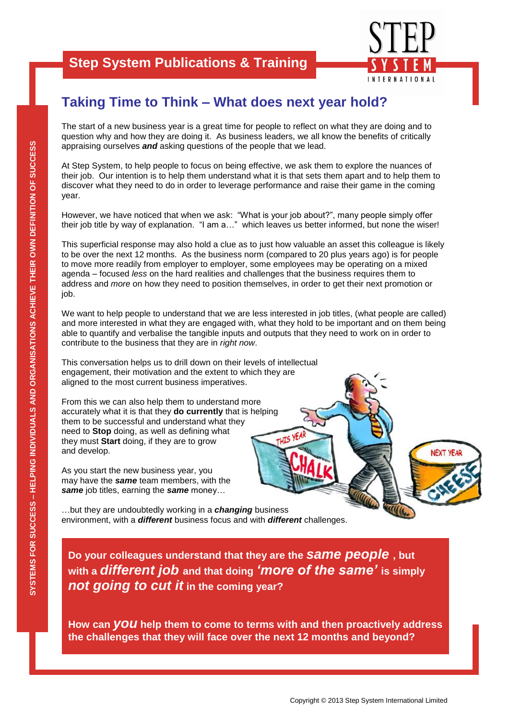#### **Step System Publications & Training**



### **Taking Time to Think – What does next year hold?**

The start of a new business year is a great time for people to reflect on what they are doing and to question why and how they are doing it. As business leaders, we all know the benefits of critically appraising ourselves *and* asking questions of the people that we lead.

At Step System, to help people to focus on being effective, we ask them to explore the nuances of their job. Our intention is to help them understand what it is that sets them apart and to help them to discover what they need to do in order to leverage performance and raise their game in the coming year.

However, we have noticed that when we ask: "What is your job about?", many people simply offer their job title by way of explanation. "I am a…" which leaves us better informed, but none the wiser!

This superficial response may also hold a clue as to just how valuable an asset this colleague is likely to be over the next 12 months. As the business norm (compared to 20 plus years ago) is for people to move more readily from employer to employer, some employees may be operating on a mixed agenda – focused *less* on the hard realities and challenges that the business requires them to address and *more* on how they need to position themselves, in order to get their next promotion or job.

We want to help people to understand that we are less interested in job titles, (what people are called) and more interested in what they are engaged with, what they hold to be important and on them being able to quantify and verbalise the tangible inputs and outputs that they need to work on in order to contribute to the business that they are in *right now*.

This conversation helps us to drill down on their levels of intellectual engagement, their motivation and the extent to which they are aligned to the most current business imperatives.

From this we can also help them to understand more accurately what it is that they **do currently** that is helping them to be successful and understand what they need to **Stop** doing, as well as defining what they must **Start** doing, if they are to grow and develop.

As you start the new business year, you may have the *same* team members, with the *same* job titles, earning the *same* money…

…but they are undoubtedly working in a *changing* business environment, with a *different* business focus and with *different* challenges.

**Do your colleagues understand that they are the** *same people* **, but with a** *different job* **and that doing** *'more of the same'* **is simply**  *not going to cut it* **in the coming year?**

**How can** *you* **help them to come to terms with and then proactively address the challenges that they will face over the next 12 months and beyond?**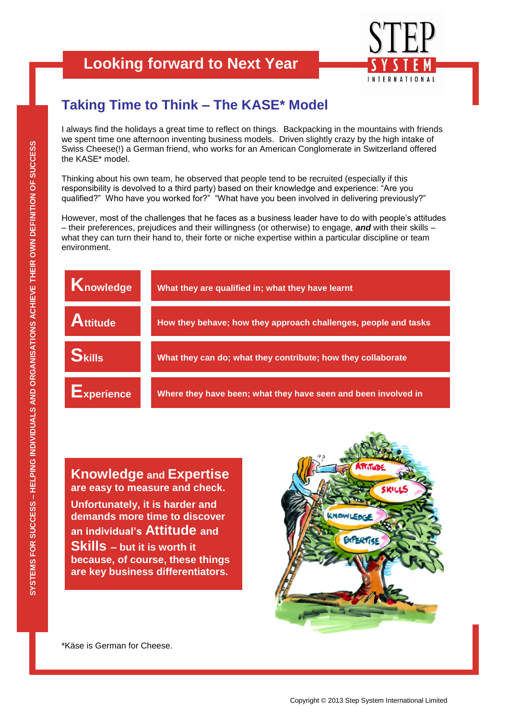# **Looking forward to Next Year**



## **Taking Time to Think – The KASE\* Model**

I always find the holidays a great time to reflect on things. Backpacking in the mountains with friends we spent time one afternoon inventing business models. Driven slightly crazy by the high intake of Swiss Cheese(!) a German friend, who works for an American Conglomerate in Switzerland offered the KASE\* model.

Thinking about his own team, he observed that people tend to be recruited (especially if this responsibility is devolved to a third party) based on their knowledge and experience: "Are you qualified?" Who have you worked for?" "What have you been involved in delivering previously?"

However, most of the challenges that he faces as a business leader have to do with people"s attitudes – their preferences, prejudices and their willingness (or otherwise) to engage, *and* with their skills – what they can turn their hand to, their forte or niche expertise within a particular discipline or team environment.



#### **Knowledge and Expertise are easy to measure and check.**

**Unfortunately, it is harder and demands more time to discover an individual's Attitude and Skills – but it is worth it because, of course, these things are key business differentiators.**



\*Käse is German for Cheese.